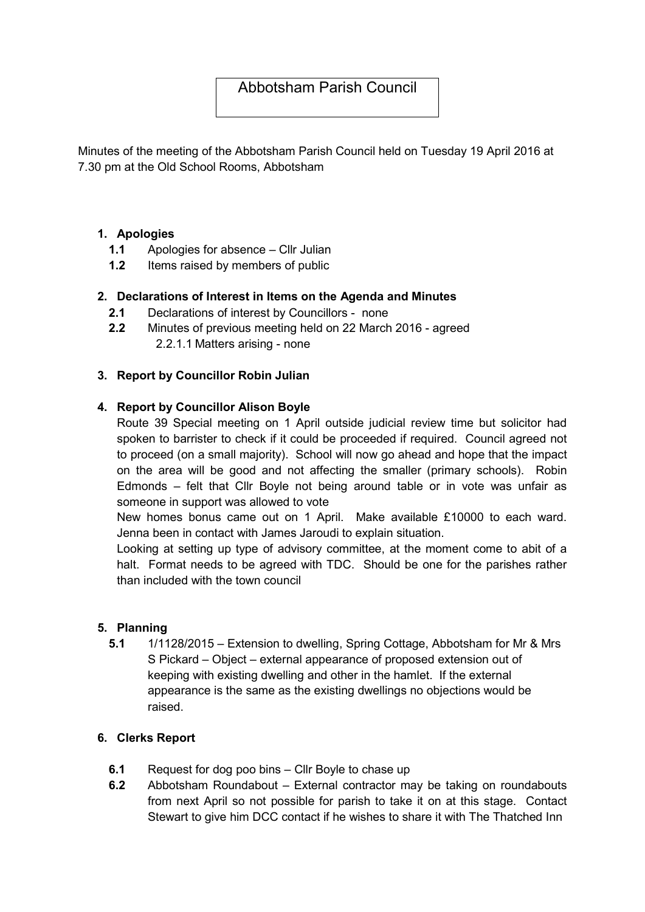# Abbotsham Parish Council

Minutes of the meeting of the Abbotsham Parish Council held on Tuesday 19 April 2016 at 7.30 pm at the Old School Rooms, Abbotsham

## 1. Apologies

- 1.1 Apologies for absence Cllr Julian
- 1.2 Items raised by members of public

## 2. Declarations of Interest in Items on the Agenda and Minutes

- 2.1 Declarations of interest by Councillors none
- 2.2 Minutes of previous meeting held on 22 March 2016 agreed 2.2.1.1 Matters arising - none

## 3. Report by Councillor Robin Julian

## 4. Report by Councillor Alison Boyle

Route 39 Special meeting on 1 April outside judicial review time but solicitor had spoken to barrister to check if it could be proceeded if required. Council agreed not to proceed (on a small majority). School will now go ahead and hope that the impact on the area will be good and not affecting the smaller (primary schools). Robin Edmonds – felt that Cllr Boyle not being around table or in vote was unfair as someone in support was allowed to vote

New homes bonus came out on 1 April. Make available £10000 to each ward. Jenna been in contact with James Jaroudi to explain situation.

Looking at setting up type of advisory committee, at the moment come to abit of a halt. Format needs to be agreed with TDC. Should be one for the parishes rather than included with the town council

#### 5. Planning

5.1 1/1128/2015 – Extension to dwelling, Spring Cottage, Abbotsham for Mr & Mrs S Pickard – Object – external appearance of proposed extension out of keeping with existing dwelling and other in the hamlet. If the external appearance is the same as the existing dwellings no objections would be raised.

#### 6. Clerks Report

- 6.1 Request for dog poo bins Cllr Boyle to chase up
- 6.2 Abbotsham Roundabout External contractor may be taking on roundabouts from next April so not possible for parish to take it on at this stage. Contact Stewart to give him DCC contact if he wishes to share it with The Thatched Inn